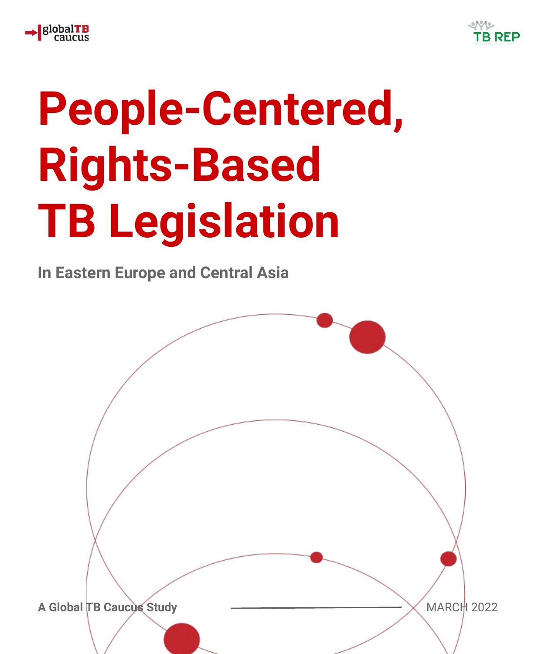



# **People-Centered, Rights-Based TB Legislation**

**In Eastern Europe and Central Asia**

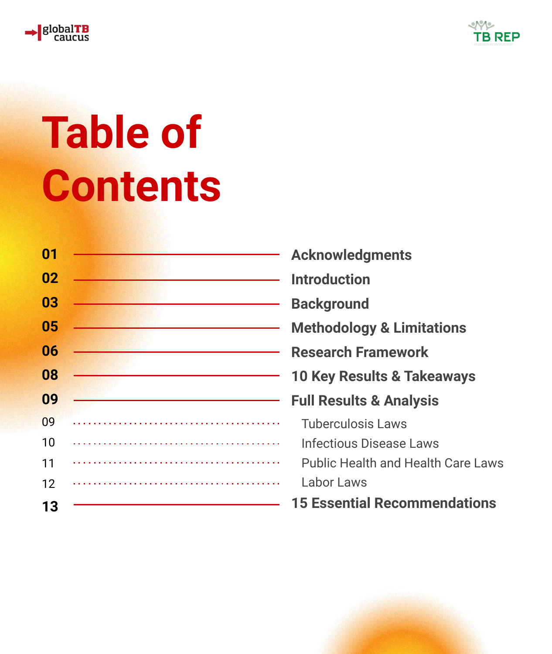



# **Table of Contents**

| 01 | <b>Acknowledgments</b>                    |
|----|-------------------------------------------|
| 02 | <b>Introduction</b>                       |
| 03 | <b>Background</b>                         |
| 05 | <b>Methodology &amp; Limitations</b>      |
| 06 | <b>Research Framework</b>                 |
| 08 | <b>10 Key Results &amp; Takeaways</b>     |
| 09 | <b>Full Results &amp; Analysis</b>        |
| 09 | <b>Tuberculosis Laws</b>                  |
| 10 | <b>Infectious Disease Laws</b>            |
| 11 | <b>Public Health and Health Care Laws</b> |
| 12 | Labor Laws                                |
| 13 | <b>15 Essential Recommendations</b>       |

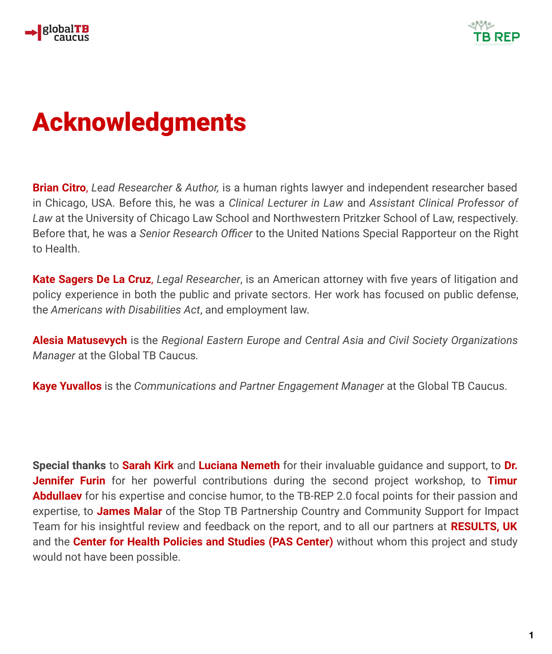<span id="page-2-0"></span>



### Acknowledgments

**Brian Citro**, *Lead Researcher & Author,* is a human rights lawyer and independent researcher based in Chicago, USA. Before this, he was a *Clinical Lecturer in Law* and *Assistant Clinical Professor of Law* at the University of Chicago Law School and Northwestern Pritzker School of Law, respectively. Before that, he was a *Senior Research Officer* to the United Nations Special Rapporteur on the Right to Health.

**Kate Sagers De La Cruz**, *Legal Researcher*, is an American attorney with five years of litigation and policy experience in both the public and private sectors. Her work has focused on public defense, the *Americans with Disabilities Act*, and employment law.

**Alesia Matusevych** is the *Regional Eastern Europe and Central Asia and Civil Society Organizations Manager* at the Global TB Caucus*.*

**Kaye Yuvallos** is the *Communications and Partner Engagement Manager* at the Global TB Caucus.

**Special thanks** to **Sarah Kirk** and **Luciana Nemeth** for their invaluable guidance and support, to **Dr. Jennifer Furin** for her powerful contributions during the second project workshop, to **Timur Abdullaev** for his expertise and concise humor, to the TB-REP 2.0 focal points for their passion and expertise, to **James Malar** of the Stop TB Partnership Country and Community Support for Impact Team for his insightful review and feedback on the report, and to all our partners at **RESULTS, UK** and the **Center for Health Policies and Studies (PAS Center)** without whom this project and study would not have been possible.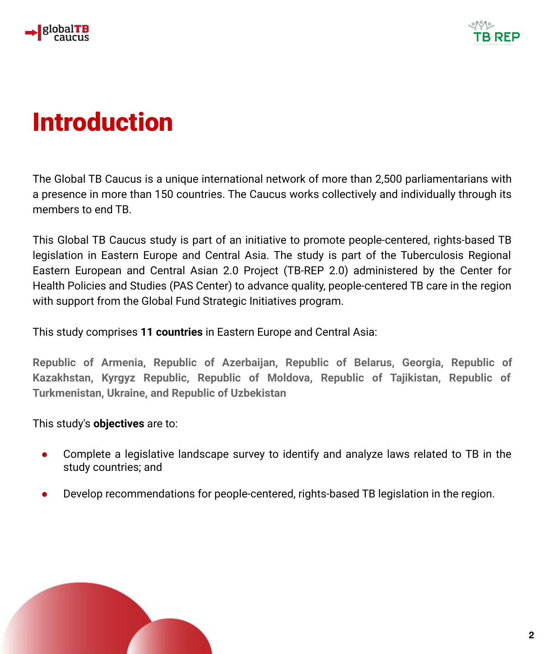<span id="page-3-0"></span>



# Introduction

The Global TB Caucus is a unique international network of more than 2,500 parliamentarians with a presence in more than 150 countries. The Caucus works collectively and individually through its members to end TB.

This Global TB Caucus study is part of an initiative to promote people-centered, rights-based TB legislation in Eastern Europe and Central Asia. The study is part of the Tuberculosis Regional Eastern European and Central Asian 2.0 Project (TB-REP 2.0) administered by the Center for Health Policies and Studies (PAS Center) to advance quality, people-centered TB care in the region with support from the Global Fund Strategic Initiatives program.

This study comprises **11 countries** in Eastern Europe and Central Asia:

**Republic of Armenia, Republic of Azerbaijan, Republic of Belarus, Georgia, Republic of Kazakhstan, Kyrgyz Republic, Republic of Moldova, Republic of Tajikistan, Republic of Turkmenistan, Ukraine, and Republic of Uzbekistan**

This study's **objectives** are to:

- Complete a legislative landscape survey to identify and analyze laws related to TB in the study countries; and
- Develop recommendations for people-centered, rights-based TB legislation in the region.

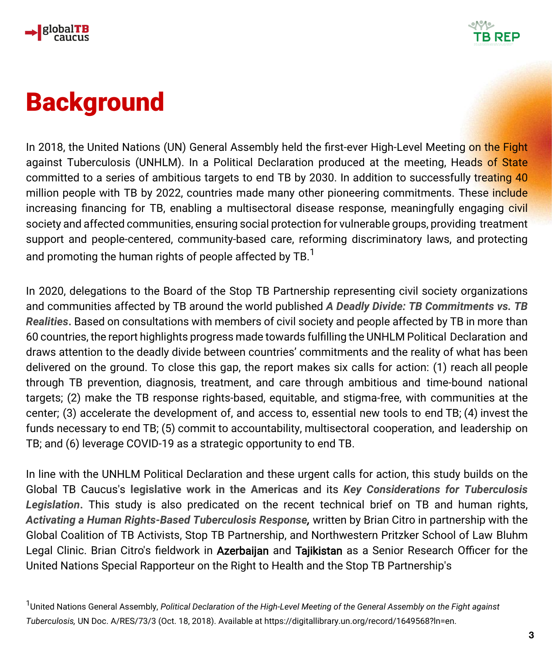<span id="page-4-0"></span>



## **Background**

In 2018, the United Nations (UN) General Assembly held the first-ever High-Level Meeting on the Fight against Tuberculosis (UNHLM). In a Political Declaration produced at the meeting, Heads of State committed to a series of ambitious targets to end TB by 2030. In addition to successfully treating 40 million people with TB by 2022, countries made many other pioneering commitments. These include increasing financing for TB, enabling a multisectoral disease response, meaningfully engaging civil society and affected communities, ensuring social protection for vulnerable groups, providing treatment support and people-centered, community-based care, reforming discriminatory laws, and protecting and promoting the human rights of people affected by  $TB.<sup>1</sup>$ 

In 2020, delegations to the Board of the Stop TB Partnership representing civil society organizations and communities affected by TB around the world published *[A Deadly Divide: TB Commitments vs. TB](https://www.stoptb.org/communities-rights-and-gender-crg/deadly-divide-tb-commitments-vs-tb-realities) [Realities](https://www.stoptb.org/communities-rights-and-gender-crg/deadly-divide-tb-commitments-vs-tb-realities)***.** Based on consultations with members of civil society and people affected by TB in more than 60 countries, the report highlights progress made towards fulfilling the UNHLM Political Declaration and draws attention to the deadly divide between countries' commitments and the reality of what has been delivered on the ground. To close this gap, the report makes six calls for action: (1) reach all people through TB prevention, diagnosis, treatment, and care through ambitious and time-bound national targets; (2) make the TB response rights-based, equitable, and stigma-free, with communities at the center; (3) accelerate the development of, and access to, essential new tools to end TB; (4) invest the funds necessary to end TB; (5) commit to accountability, multisectoral cooperation, and leadership on TB; and (6) leverage COVID-19 as a strategic opportunity to end TB.

In line with the UNHLM Political Declaration and these urgent calls for action, this study builds on the Global TB Caucus's **[legislative work in the Americas](https://www.globaltbcaucus.org/legislation)** and its *[Key Considerations for Tuberculosis](https://stoptb.org/assets/documents/communities/Key%20Considerations%20for%20TB%20Legislation%20(2019).pdf) [Legislation](https://stoptb.org/assets/documents/communities/Key%20Considerations%20for%20TB%20Legislation%20(2019).pdf)***.** This study is also predicated on the recent technical brief on TB and human rights, *[Activating a Human Rights-Based Tuberculosis Response,](https://stoptb.org/assets/documents/communities/Activating%20A%20Human%20Rights%20Based%20Tuberculosis%20Response_Policy%20Brief%20(2020).pdf)* written by Brian Citro in partnership with the Global Coalition of TB Activists, Stop TB Partnership, and Northwestern Pritzker School of Law Bluhm Legal Clinic. Brian Citro's fieldwork in [Azerbaijan](https://undocs.org/A/HRC/23/41/Add.1) and [Tajikistan](https://undocs.org/A/HRC/23/41/Add.2) as a Senior Research Officer for the United Nations Special Rapporteur on the Right to Health and the Stop TB Partnership's

<sup>1</sup> United Nations General Assembly, *Political Declaration of the High-Level Meeting of the General Assembly on the Fight against Tuberculosis,* UN Doc. A/RES/73/3 (Oct. 18, 2018). Available at https://digitallibrary.un.org/record/1649568?ln=en.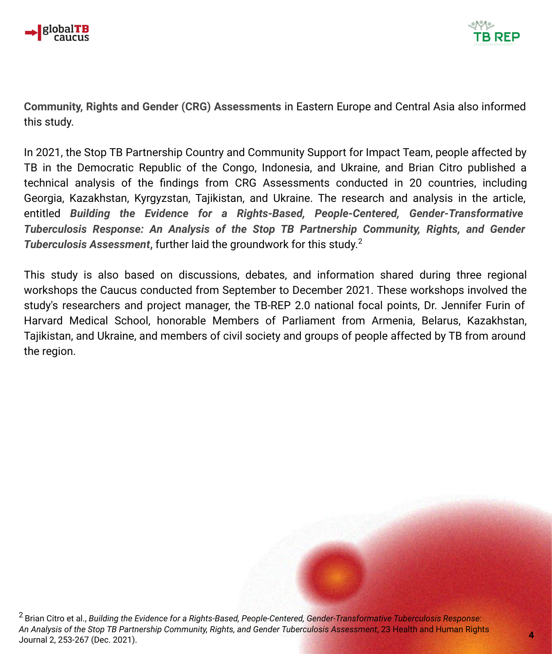



**[Community, Rights and Gender \(CRG\) Assessments](https://www.stoptb.org/prioritising-people-human-rights-gender/communities-rights-and-gender-crg)** in Eastern Europe and Central Asia also informed this study.

In 2021, the Stop TB Partnership Country and Community Support for Impact Team, people affected by TB in the Democratic Republic of the Congo, Indonesia, and Ukraine, and Brian Citro published a technical analysis of the findings from CRG Assessments conducted in 20 countries, including Georgia, Kazakhstan, Kyrgyzstan, Tajikistan, and Ukraine. The research and analysis in the article, entitled *[Building the Evidence for a Rights-Based, People-Centered, Gender-Transformative](https://www.hhrjournal.org/2021/12/building-the-evidence-for-a-rights-based-people-centered-gender-transformative-tuberculosis-response-an-analysis-of-the-stop-tb-partnership-community-rights-and-gender-tuberculosis-assessment/#_edn53)  [Tuberculosis Response: An Analysis of the Stop TB Partnership Community, Rights, and Gender](https://www.hhrjournal.org/2021/12/building-the-evidence-for-a-rights-based-people-centered-gender-transformative-tuberculosis-response-an-analysis-of-the-stop-tb-partnership-community-rights-and-gender-tuberculosis-assessment/#_edn53)*  **[Tuberculosis Assessment](https://www.hhrjournal.org/2021/12/building-the-evidence-for-a-rights-based-people-centered-gender-transformative-tuberculosis-response-an-analysis-of-the-stop-tb-partnership-community-rights-and-gender-tuberculosis-assessment/#_edn53), further laid the groundwork for this study.<sup>2</sup>** 

This study is also based on discussions, debates, and information shared during three regional workshops the Caucus conducted from September to December 2021. These workshops involved the study's researchers and project manager, the TB-REP 2.0 national focal points, Dr. Jennifer Furin of Harvard Medical School, honorable Members of Parliament from Armenia, Belarus, Kazakhstan, Tajikistan, and Ukraine, and members of civil society and groups of people affected by TB from around the region.

<sup>2</sup>Brian Citro et al., *Building the Evidence for a Rights-Based, People-Centered, Gender-Transformative Tuberculosis Response: An Analysis of the Stop TB Partnership Community, Rights, and Gender Tuberculosis Assessment*, 23 Health and Human Rights Journal 2, 253-267 (Dec. 2021).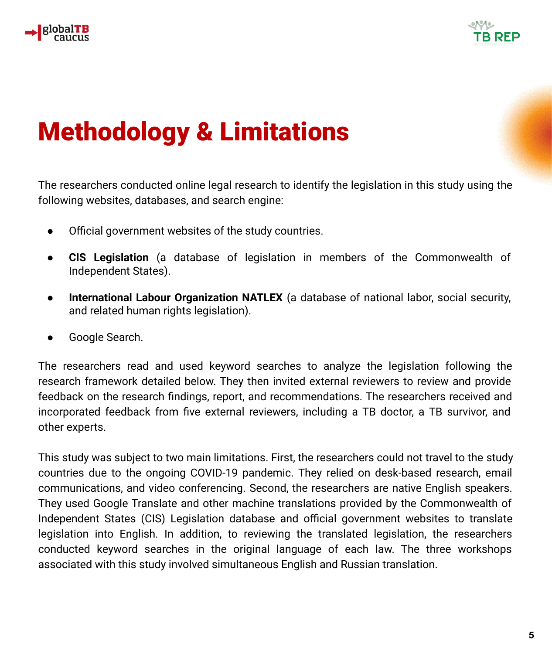<span id="page-6-0"></span>



# Methodology & Limitations

The researchers conducted online legal research to identify the legislation in this study using the following websites, databases, and search engine:

- Official government websites of the study countries.
- **[CIS Legislation](https://cis-legislation.com/)** (a database of legislation in members of the Commonwealth of Independent States).
- **[International Labour Organization NATLEX](https://www.ilo.org/dyn/natlex/natlex4.home?p_lang=en)** (a database of national labor, social security, and related human rights legislation).
- Google Search.

The researchers read and used keyword searches to analyze the legislation following the research framework detailed below. They then invited external reviewers to review and provide feedback on the research findings, report, and recommendations. The researchers received and incorporated feedback from five external reviewers, including a TB doctor, a TB survivor, and other experts.

This study was subject to two main limitations. First, the researchers could not travel to the study countries due to the ongoing COVID-19 pandemic. They relied on desk-based research, email communications, and video conferencing. Second, the researchers are native English speakers. They used Google Translate and other machine translations provided by the Commonwealth of Independent States (CIS) Legislation database and official government websites to translate legislation into English. In addition, to reviewing the translated legislation, the researchers conducted keyword searches in the original language of each law. The three workshops associated with this study involved simultaneous English and Russian translation.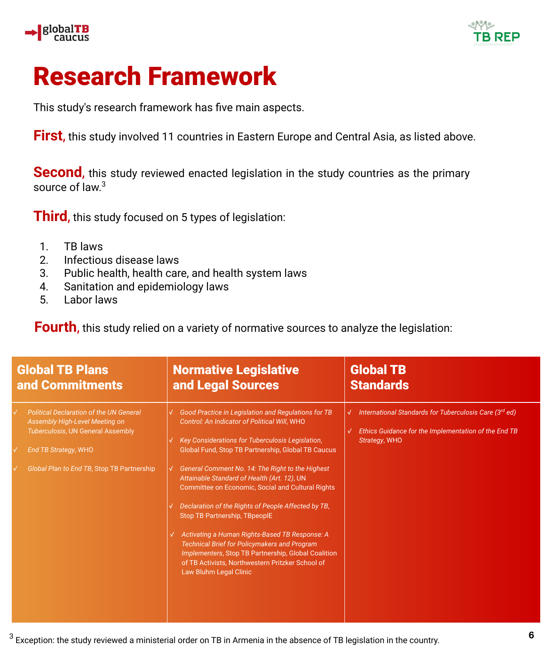<span id="page-7-0"></span>



### Research Framework

This study's research framework has five main aspects.

**First**, this study involved 11 countries in Eastern Europe and Central Asia, as listed above.

**Second**, this study reviewed enacted legislation in the study countries as the primary source of law.<sup>3</sup>

**Third**, this study focused on 5 types of legislation:

- 1. TB laws
- 2. Infectious disease laws
- 3. Public health, health care, and health system laws
- 4. Sanitation and epidemiology laws
- 5. Labor laws

**Fourth**, this study relied on a variety of normative sources to analyze the legislation:

| <b>Global TB Plans</b>                                                                                                                                                                                           | <b>Normative Legislative</b>                                                                                                                                                                                                                                                                                                                                                                                                                                                                                                                                                                                                                                                                                | <b>Global TB</b>                                                                                                                |
|------------------------------------------------------------------------------------------------------------------------------------------------------------------------------------------------------------------|-------------------------------------------------------------------------------------------------------------------------------------------------------------------------------------------------------------------------------------------------------------------------------------------------------------------------------------------------------------------------------------------------------------------------------------------------------------------------------------------------------------------------------------------------------------------------------------------------------------------------------------------------------------------------------------------------------------|---------------------------------------------------------------------------------------------------------------------------------|
| and Commitments                                                                                                                                                                                                  | and Legal Sources                                                                                                                                                                                                                                                                                                                                                                                                                                                                                                                                                                                                                                                                                           | <b>Standards</b>                                                                                                                |
| <b>Political Declaration of the UN General</b><br><b>Assembly High-Level Meeting on</b><br><b>Tuberculosis, UN General Assembly</b><br><b>End TB Strategy, WHO</b><br>Global Plan to End TB, Stop TB Partnership | Good Practice in Legislation and Regulations for TB<br>Control: An Indicator of Political Will, WHO<br>Key Considerations for Tuberculosis Legislation,<br>Global Fund, Stop TB Partnership, Global TB Caucus<br>General Comment No. 14: The Right to the Highest<br>Attainable Standard of Health (Art. 12), UN<br>Committee on Economic, Social and Cultural Rights<br>Declaration of the Rights of People Affected by TB,<br><b>Stop TB Partnership, TBpeoplE</b><br>Activating a Human Rights-Based TB Response: A<br>Technical Brief for Policymakers and Program<br>Implementers, Stop TB Partnership, Global Coalition<br>of TB Activists, Northwestern Pritzker School of<br>Law Bluhm Legal Clinic | International Standards for Tuberculosis Care (3rd ed)<br>Ethics Guidance for the Implementation of the End TB<br>Strategy, WHO |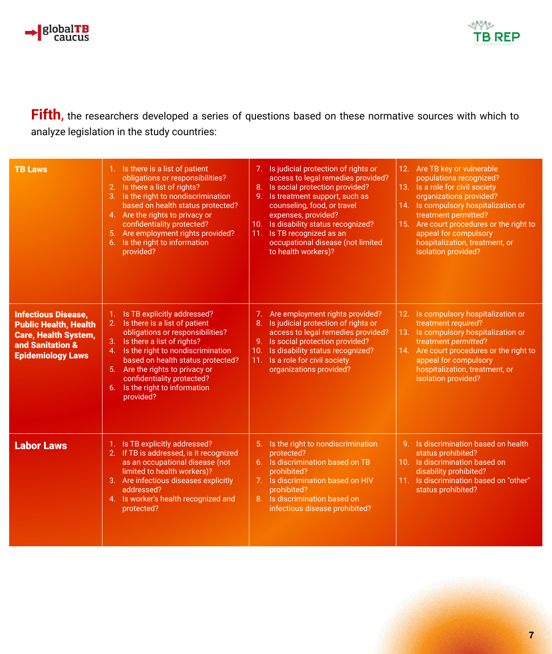



Fifth, the researchers developed a series of questions based on these normative sources with which to analyze legislation in the study countries:

| <b>TB Laws</b>                                                                                                                            | Is there is a list of patient<br>1.<br>obligations or responsibilities?<br>Is there a list of rights?<br>2.<br>Is the right to nondiscrimination<br>3.<br>based on health status protected?<br>4. Are the rights to privacy or<br>confidentiality protected?<br>5. Are employment rights provided?<br>Is the right to information<br>6.<br>provided? | Is judicial protection of rights or<br>7.<br>access to legal remedies provided?<br>Is social protection provided?<br>8.<br>Is treatment support, such as<br>9.1<br>counseling, food, or travel<br>expenses, provided?<br>Is disability status recognized?<br>10.<br>Is TB recognized as an<br>11.<br>occupational disease (not limited<br>to health workers)? | 12. Are TB key or vulnerable<br>populations recognized?<br>13. Is a role for civil society<br>organizations provided?<br>14. Is compulsory hospitalization or<br>treatment permitted?<br>15. Are court procedures or the right to<br>appeal for compulsory<br>hospitalization, treatment, or<br>isolation provided? |
|-------------------------------------------------------------------------------------------------------------------------------------------|------------------------------------------------------------------------------------------------------------------------------------------------------------------------------------------------------------------------------------------------------------------------------------------------------------------------------------------------------|---------------------------------------------------------------------------------------------------------------------------------------------------------------------------------------------------------------------------------------------------------------------------------------------------------------------------------------------------------------|---------------------------------------------------------------------------------------------------------------------------------------------------------------------------------------------------------------------------------------------------------------------------------------------------------------------|
| <b>Infectious Disease,</b><br><b>Public Health, Health</b><br><b>Care, Health System,</b><br>and Sanitation &<br><b>Epidemiology Laws</b> | Is TB explicitly addressed?<br>1.<br>Is there is a list of patient<br>2.<br>obligations or responsibilities?<br>3.<br>Is there a list of rights?<br>Is the right to nondiscrimination<br>4.<br>based on health status protected?<br>Are the rights to privacy or<br>5.<br>confidentiality protected?<br>6. Is the right to information<br>provided?  | Are employment rights provided?<br>7.<br>Is judicial protection of rights or<br>8.<br>access to legal remedies provided?<br>Is social protection provided?<br>9 <sub>1</sub><br>Is disability status recognized?<br>10.<br>Is a role for civil society<br>11.<br>organizations provided?                                                                      | 12. Is compulsory hospitalization or<br>treatment required?<br>13. Is compulsory hospitalization or<br>treatment permitted?<br>14. Are court procedures or the right to<br>appeal for compulsory<br>hospitalization, treatment, or<br>isolation provided?                                                           |
| <b>Labor Laws</b>                                                                                                                         | 1. Is TB explicitly addressed?<br>2. If TB is addressed, is it recognized<br>as an occupational disease (not<br>limited to health workers)?<br>3. Are infectious diseases explicitly<br>addressed?<br>4. Is worker's health recognized and<br>protected?                                                                                             | 5.<br>Is the right to nondiscrimination<br>protected?<br>6. Is discrimination based on TB<br>prohibited?<br>Is discrimination based on HIV<br>7.<br>prohibited?<br>Is discrimination based on<br>8.<br>infectious disease prohibited?                                                                                                                         | 9. Is discrimination based on health<br>status prohibited?<br>10. Is discrimination based on<br>disability prohibited?<br>11. Is discrimination based on "other"<br>status prohibited?                                                                                                                              |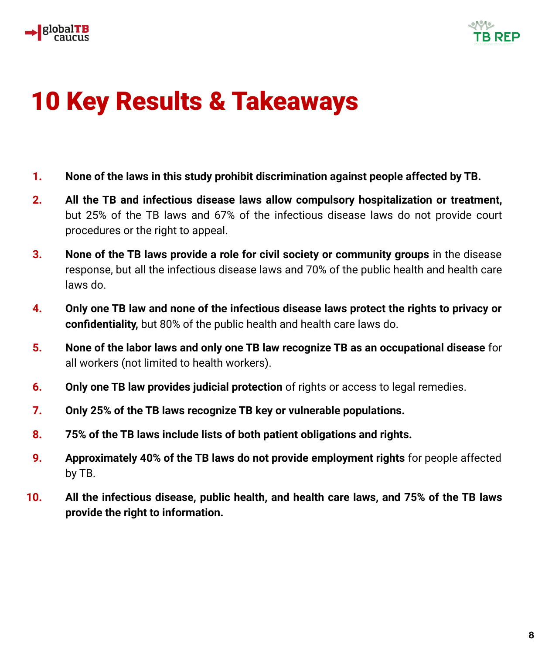<span id="page-9-0"></span>



# 10 Key Results & Takeaways

- **1. None of the laws in this study prohibit discrimination against people affected by TB.**
- **2. All the TB and infectious disease laws allow compulsory hospitalization or treatment,** but 25% of the TB laws and 67% of the infectious disease laws do not provide court procedures or the right to appeal.
- **3. None of the TB laws provide a role for civil society or community groups** in the disease response, but all the infectious disease laws and 70% of the public health and health care laws do.
- **4. Only one TB law and none of the infectious disease laws protect the rights to privacy or confidentiality,** but 80% of the public health and health care laws do.
- **5. None of the labor laws and only one TB law recognize TB as an occupational disease** for all workers (not limited to health workers).
- **6. Only one TB law provides judicial protection** of rights or access to legal remedies.
- **7. Only 25% of the TB laws recognize TB key or vulnerable populations.**
- **8. 75% of the TB laws include lists of both patient obligations and rights.**
- **9. Approximately 40% of the TB laws do not provide employment rights** for people affected by TB.
- **10. All the infectious disease, public health, and health care laws, and 75% of the TB laws provide the right to information.**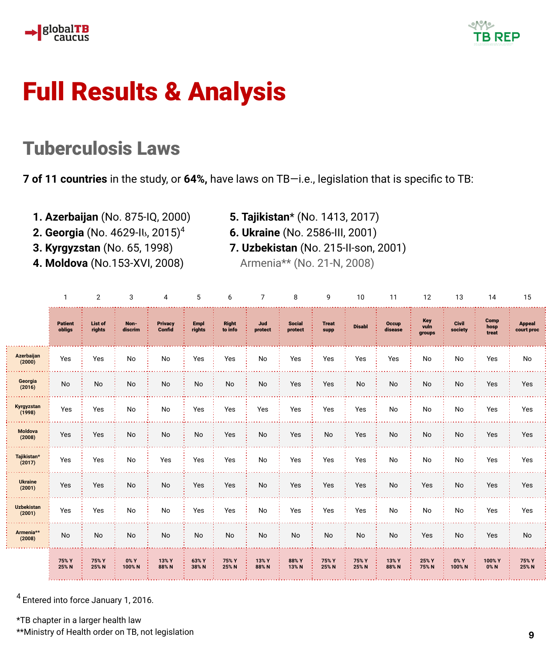<span id="page-10-0"></span>



## Full Results & Analysis

### Tuberculosis Laws

**7 of 11 countries** in the study, or **64%,** have laws on TB—i.e., legislation that is specific to TB:

- **1. Azerbaijan** (No. 875-IQ, 2000)
- **5. Tajikistan**\* (No. 1413, 2017)
- **2. Georgia** (No. 4629-Iს, 2015)<sup>4</sup> **3. Kyrgyzstan** (No. 65, 1998)
- **6. Ukraine** (No. 2586-III, 2001) **7. Uzbekistan** (No. 215-II-son, 2001)
- **4. Moldova** (No.153-XVI, 2008)
- Armenia\*\* (No. 21-N, 2008)

|                             | 1                            | 2                            | 3               | 4                            | 5                            | 6                       | 7                            | 8                        | 9                    | 10             | 11                           | 12                           | 13                      | 14                                               | 15                          |
|-----------------------------|------------------------------|------------------------------|-----------------|------------------------------|------------------------------|-------------------------|------------------------------|--------------------------|----------------------|----------------|------------------------------|------------------------------|-------------------------|--------------------------------------------------|-----------------------------|
|                             | <b>Patient</b><br>obligs     | <b>List of</b><br>rights     | Non-<br>discrim | <b>Privacy</b><br>Confid     | <b>Empl</b><br>rights        | <b>Right</b><br>to info | Jud<br>protect               | <b>Social</b><br>protect | <b>Treat</b><br>supp | <b>Disabl</b>  | Occup<br>disease             | Key<br>vuln<br>groups        | <b>Civil</b><br>society | $\fbox{\bf Comp} \atop \text{\bf hosp}$<br>treat | <b>Appeal</b><br>court proc |
| Azerbaijan<br>(2000)        | Yes                          | Yes                          | No              | $\operatorname{\mathsf{No}}$ | Yes                          | Yes                     | $\operatorname{\mathsf{No}}$ | Yes                      | Yes                  | Yes            | Yes                          | No                           | No                      | Yes                                              | No                          |
| Georgia<br>(2016)           | $\operatorname{\mathsf{No}}$ | $\operatorname{\mathsf{No}}$ | No              | $\operatorname{\mathsf{No}}$ | $\operatorname{\mathsf{No}}$ | No                      | $\operatorname{\mathsf{No}}$ | Yes                      | Yes                  | No             | $\operatorname{\mathsf{No}}$ | No                           | No                      | Yes                                              | Yes                         |
| Kyrgyzstan<br>(1998)        | Yes                          | Yes                          | No              | No                           | Yes                          | Yes                     | Yes                          | Yes                      | Yes                  | Yes            | $\operatorname{\mathsf{No}}$ | No                           | No                      | Yes                                              | Yes                         |
| Moldova<br>(2008)           | Yes                          | Yes                          | No              | $\operatorname{\mathsf{No}}$ | $\operatorname{\mathsf{No}}$ | Yes                     | $\operatorname{\mathsf{No}}$ | Yes                      | $\mathsf{No}$        | Yes            | $\mathsf{No}$                | $\mathsf{No}$                | No                      | Yes                                              | Yes                         |
| Tajikistan*<br>(2017)       | Yes                          | Yes                          | No              | Yes                          | Yes                          | Yes                     | $\operatorname{\mathsf{No}}$ | Yes                      | Yes                  | Yes            | $\operatorname{\mathsf{No}}$ | $\operatorname{\mathsf{No}}$ | No                      | Yes                                              | Yes                         |
| <b>Ukraine</b><br>(2001)    | Yes                          | Yes                          | No              | $\mathsf{No}$                | Yes                          | Yes                     | No                           | Yes                      | Yes                  | Yes            | No                           | Yes                          | No                      | Yes                                              | Yes                         |
| <b>Uzbekistan</b><br>(2001) | Yes                          | Yes                          | No              | No                           | Yes                          | Yes                     | No                           | Yes                      | Yes                  | Yes            | $\operatorname{\mathsf{No}}$ | No                           | No                      | Yes                                              | Yes                         |
| Armenia**<br>(2008)         | $\operatorname{\mathsf{No}}$ | $\operatorname{\mathsf{No}}$ | No              | $\operatorname{\mathsf{No}}$ | $\operatorname{\mathsf{No}}$ | No                      | $\operatorname{\mathsf{No}}$ | No                       | No                   | No             | $\mathsf{No}$                | Yes                          | No                      | Yes                                              | No                          |
|                             | 75% Y<br>25% N               | 75% Y<br>25% N               | 0% Y<br>100% N  | 13% Y<br>88% N               | 63% Y<br>38% N               | 75% Y<br>25% N          | 13% Y<br>88% N               | 88% Y<br>13% N           | 75% Y<br>25% N       | 75% Y<br>25% N | 13% Y<br>88% N               | 25% Y<br>75% N               | 0% Y<br>100% N          | 100% Y<br>0% N                                   | 75% Y<br>25% N              |

<sup>4</sup>Entered into force January 1, 2016.

\*\*Ministry of Health order on TB, not legislation **9**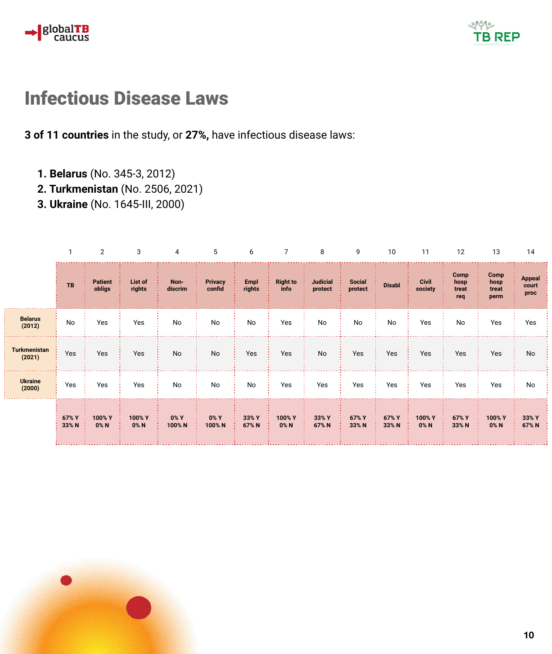<span id="page-11-0"></span>



### Infectious Disease Laws

**3 of 11 countries** in the study, or **27%,** have infectious disease laws:

- **1. Belarus** (No. 345-3, 2012)
- **2. Turkmenistan** (No. 2506, 2021)
- **3. Ukraine** (No. 1645-III, 2000)

|                               |                | 2                        | 3                 | 4               | 5                        | 6                     |                         | 8                          | 9                        | 10             | 11                      | 12                           | 13                            | 14                             |
|-------------------------------|----------------|--------------------------|-------------------|-----------------|--------------------------|-----------------------|-------------------------|----------------------------|--------------------------|----------------|-------------------------|------------------------------|-------------------------------|--------------------------------|
|                               | <b>TB</b>      | <b>Patient</b><br>obligs | List of<br>rights | Non-<br>discrim | <b>Privacy</b><br>confid | <b>Empl</b><br>rights | <b>Right to</b><br>info | <b>Judicial</b><br>protect | <b>Social</b><br>protect | <b>Disabl</b>  | <b>Civil</b><br>society | Comp<br>hosp<br>treat<br>req | Comp<br>hosp<br>treat<br>perm | <b>Appeal</b><br>court<br>proc |
| <b>Belarus</b><br>(2012)      | No             | Yes                      | Yes               | No              | No                       | No                    | Yes                     | No                         | No                       | No             | Yes                     | No                           | Yes                           | Yes                            |
| <b>Turkmenistan</b><br>(2021) | Yes            | Yes                      | Yes               | No              | No                       | Yes                   | Yes                     | No                         | Yes                      | Yes            | Yes                     | Yes                          | Yes                           | No                             |
| <b>Ukraine</b><br>(2000)      | Yes            | Yes                      | Yes               | No              | No                       | No                    | Yes                     | Yes                        | Yes                      | Yes            | Yes                     | Yes                          | Yes                           | No                             |
|                               | 67% Y<br>33% N | 100% Y<br>0% N           | 100% Y<br>0% N    | 0% Y<br>100% N  | 0% Y<br>100% N           | 33% Y<br>67% N        | 100% Y<br>0% N          | 33% Y<br>67% N             | 67% Y<br>33% N           | 67% Y<br>33% N | 100% Y<br>0% N          | 67% Y<br>33% N               | 100% Y<br>0% N                | 33% Y<br>67% N                 |

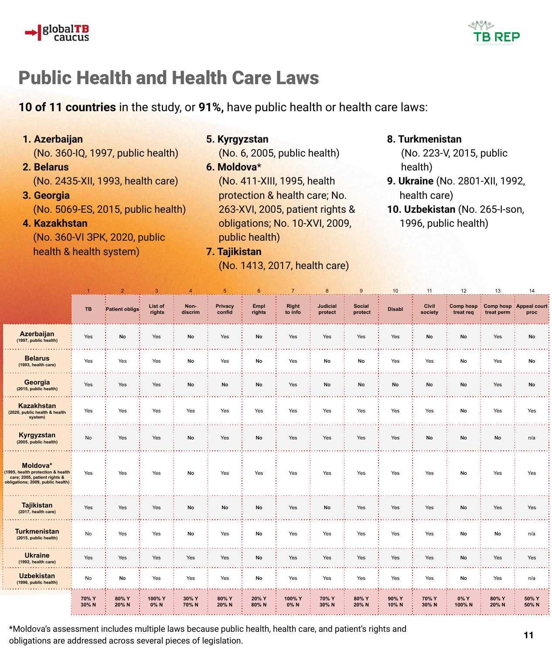<span id="page-12-0"></span>



### Public Health and Health Care Laws

**10 of 11 countries** in the study, or **91%,** have public health or health care laws:

#### **1. Azerbaijan**

(No. 360-IQ, 1997, public health)

**2. Belarus** (No. 2435-XII, 1993, health care)

**3. Georgia** (No. 5069-ES, 2015, public health)

#### **4. Kazakhstan**

(No. 360-VI ЗРК, 2020, public health & health system)

#### **5. Kyrgyzstan**

(No. 6, 2005, public health)

#### **6. Moldova**\*

(No. 411-XIII, 1995, health protection & health care; No. 263-XVI, 2005, patient rights & obligations; No. 10-XVI, 2009, public health)

#### **7. Tajikistan**

(No. 1413, 2017, health care)

#### **8. Turkmenistan**

(No. 223-V, 2015, public health)

- **9. Ukraine** (No. 2801-XII, 1992, health care)
- **10. Uzbekistan** (No. 265-I-son, 1996, public health)

|                                                                                                                    |                | $\overline{2}$ | 3                 | 4               | 5                 | $6\phantom{1}6$ | $\overline{7}$   | 8                   | 9                        | 10             | 11               | 12             | 13             | 14                                         |
|--------------------------------------------------------------------------------------------------------------------|----------------|----------------|-------------------|-----------------|-------------------|-----------------|------------------|---------------------|--------------------------|----------------|------------------|----------------|----------------|--------------------------------------------|
|                                                                                                                    | <b>TB</b>      | Patient obligs | List of<br>rights | Non-<br>discrim | Privacy<br>confid | Empl<br>rights  | Right<br>to info | Judicial<br>protect | <b>Social</b><br>protect | <b>Disabl</b>  | Civil<br>society | treat req      | treat perm     | Comp hosp: Comp hosp: Appeal court<br>proc |
| Azerbaijan<br>(1997, public health)                                                                                | Yes            | No             | Yes               | No              | Yes               | No              | Yes              | Yes                 | Yes                      | Yes            | No               | $\mathsf{No}$  | Yes            | No                                         |
| <b>Belarus</b><br>(1993, health care)                                                                              | Yes            | Yes            | Yes               | No              | Yes               | No              | Yes              | No                  | No                       | Yes            | Yes              | No             | Yes            | No                                         |
| Georgia<br>(2015, public health)                                                                                   | Yes            | Yes            | Yes               | No              | No                | No              | Yes              | No                  | No                       | No             | No               | No             | Yes            | No                                         |
| <b>Kazakhstan</b><br>(2020, public health & health<br>system)                                                      | Yes            | Yes            | Yes               | Yes             | Yes               | Yes             | Yes              | Yes                 | Yes                      | Yes            | Yes              | No             | Yes            | Yes                                        |
| Kyrgyzstan<br>(2005, public health)                                                                                | No             | Yes            | Yes               | No              | Yes               | No              | Yes              | Yes                 | Yes                      | Yes            | No               | No             | No             | n/a                                        |
| Moldova*<br>(1995, health protection & health<br>care; 2005, patient rights &<br>obligations; 2009, public health) | Yes            | Yes            | Yes               | No              | Yes               | Yes             | Yes              | Yes                 | Yes                      | Yes            | Yes              | No             | Yes            | Yes                                        |
| <b>Tajikistan</b><br>(2017, health care)                                                                           | Yes            | Yes            | Yes               | No              | No                | No              | Yes              | No                  | Yes                      | Yes            | Yes              | No             | Yes            | Yes                                        |
| <b>Turkmenistan</b><br>(2015, public health)                                                                       | No             | Yes            | Yes               | No              | Yes               | No              | Yes              | Yes                 | Yes                      | Yes            | Yes              | No             | No             | n/a                                        |
| <b>Ukraine</b><br>(1992, health care)                                                                              | Yes            | Yes            | Yes               | Yes             | Yes               | No              | Yes              | Yes                 | Yes                      | Yes            | Yes              | No             | Yes            | Yes                                        |
| <b>Uzbekistan</b><br>(1996, public health)                                                                         | No             | No             | Yes               | Yes             | Yes               | No              | Yes              | Yes                 | Yes                      | Yes            | Yes              | No             | Yes            | n/a                                        |
|                                                                                                                    | 70% Y<br>30% N | 80% Y<br>20% N | 100% Y<br>0% N    | 30% Y<br>70% N  | 80% Y<br>20% N    | 20% Y<br>80% N  | 100% Y<br>0% N   | 70% Y<br>30% N      | 80% Y<br>20% N           | 90% Y<br>10% N | 70% Y<br>30% N   | 0% Y<br>100% N | 80% Y<br>20% N | 50% Y<br>50% N                             |

\*Moldova's assessment includes multiple laws because public health, health care, and patient's rights and obligations are addressed across several pieces of legislation. **<sup>11</sup>**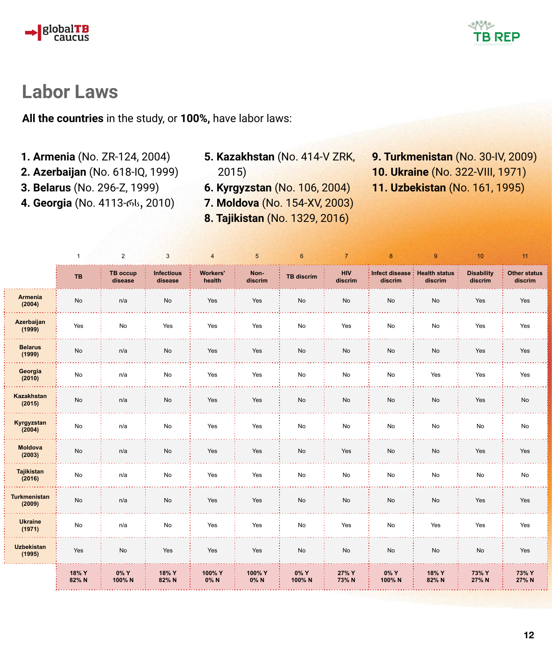<span id="page-13-0"></span>



### **Labor Laws**

**All the countries** in the study, or **100%,** have labor laws:

- **1. Armenia** (No. ZR-124, 2004)
- **2. Azerbaijan** (No. 618-IQ, 1999)
- **3. Belarus** (No. 296-Z, 1999)
- **4. Georgia** (No. 4113-რს, 2010)
- **5. Kazakhstan** (No. 414-V ZRK, 2015)
- **6. Kyrgyzstan** (No. 106, 2004)
- **7. Moldova** (No. 154-XV, 2003)
- **8. Tajikistan** (No. 1329, 2016)
- **9. Turkmenistan** (No. 30-IV, 2009) **10. Ukraine** (No. 322-VIII, 1971) **11. Uzbekistan** (No. 161, 1995)

|                               | $\mathbf{1}$                 | $\overline{2}$             | $\mathbf{3}$                 | $\overline{4}$            | 5 <sup>5</sup>  | $6\phantom{a}$    | 7 <sup>7</sup>        | 8                                         | $\overline{9}$ | 10                           | 11                             |
|-------------------------------|------------------------------|----------------------------|------------------------------|---------------------------|-----------------|-------------------|-----------------------|-------------------------------------------|----------------|------------------------------|--------------------------------|
|                               | TB                           | <b>TB</b> occup<br>disease | <b>Infectious</b><br>disease | <b>Workers'</b><br>health | Non-<br>discrim | <b>TB discrim</b> | <b>HIV</b><br>discrim | Infect disease : Health status<br>discrim | discrim        | <b>Disability</b><br>discrim | <b>Other status</b><br>discrim |
| <b>Armenia</b><br>(2004)      | No                           | n/a                        | $\mathsf{No}$                | Yes                       | Yes             | No                | No                    | No                                        | ${\sf No}$     | Yes                          | Yes                            |
| Azerbaijan<br>(1999)          | Yes                          | No                         | Yes                          | Yes                       | Yes             | No                | Yes                   | No                                        | $\mathsf{No}$  | Yes                          | Yes                            |
| <b>Belarus</b><br>(1999)      | No                           | n/a                        | No                           | Yes                       | Yes             | <b>No</b>         | No                    | No                                        | No             | Yes                          | Yes                            |
| Georgia<br>(2010)             | $\mathsf{No}$                | n/a                        | $\mathsf{No}$                | Yes                       | Yes             | No                | No                    | No                                        | Yes            | Yes                          | Yes                            |
| <b>Kazakhstan</b><br>(2015)   | No                           | n/a                        | No                           | Yes                       | Yes             | <b>No</b>         | No                    | No                                        | No             | Yes                          | No                             |
| Kyrgyzstan<br>(2004)          | No                           | n/a                        | No                           | Yes                       | Yes             | No                | No                    | No                                        | No             | No                           | No                             |
| <b>Moldova</b><br>(2003)      | No                           | n/a                        | No                           | Yes                       | Yes             | <b>No</b>         | Yes                   | No                                        | No             | Yes                          | Yes                            |
| <b>Tajikistan</b><br>(2016)   | $\mathsf{No}$                | n/a                        | $\mathsf{No}$                | Yes                       | Yes             | <b>No</b>         | No                    | No                                        | $\mathsf{No}$  | $\mathsf{No}$                | No                             |
| <b>Turkmenistan</b><br>(2009) | $\operatorname{\mathsf{No}}$ | n/a                        | $\mathsf{No}$                | Yes                       | Yes             | <b>No</b>         | No                    | No                                        | $\mathsf{No}$  | Yes                          | Yes                            |
| <b>Ukraine</b><br>(1971)      | No                           | n/a                        | No                           | Yes                       | Yes             | No                | Yes                   | No                                        | Yes            | Yes                          | Yes                            |
| <b>Uzbekistan</b><br>(1995)   | Yes                          | No                         | Yes                          | Yes                       | Yes             | No                | No                    | No                                        | No             | No                           | Yes                            |
|                               | 18% Y<br>82% N               | 0% Y<br>100% N             | 18% Y<br>82% N               | 100% Y<br>0% N            | 100% Y<br>0% N  | 0% Y<br>100% N    | 27% Y<br>73% N        | 0% Y<br>100% N                            | 18% Y<br>82% N | 73% Y<br>27% N               | 73% Y<br>27% N                 |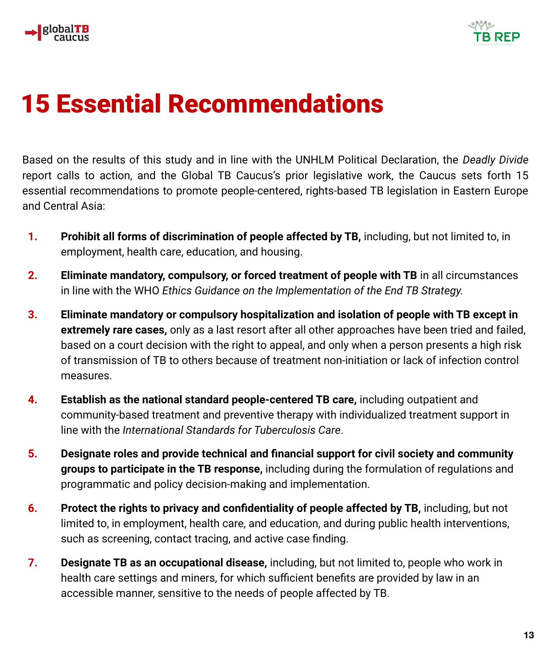<span id="page-14-0"></span>



### 15 Essential Recommendations

Based on the results of this study and in line with the UNHLM Political Declaration, the *Deadly Divide* report calls to action, and the Global TB Caucus's prior legislative work, the Caucus sets forth 15 essential recommendations to promote people-centered, rights-based TB legislation in Eastern Europe and Central Asia:

- **1. Prohibit all forms of discrimination of people affected by TB,** including, but not limited to, in employment, health care, education, and housing.
- **2. Eliminate mandatory, compulsory, or forced treatment of people with TB** in all circumstances in line with the WHO *Ethics Guidance on the Implementation of the End TB Strategy.*
- **3. Eliminate mandatory or compulsory hospitalization and isolation of people with TB except in extremely rare cases,** only as a last resort after all other approaches have been tried and failed, based on a court decision with the right to appeal, and only when a person presents a high risk of transmission of TB to others because of treatment non-initiation or lack of infection control measures.
- **4. Establish as the national standard people-centered TB care,** including outpatient and community-based treatment and preventive therapy with individualized treatment support in line with the *International Standards for Tuberculosis Care*.
- **5. Designate roles and provide technical and financial support for civil society and community groups to participate in the TB response,** including during the formulation of regulations and programmatic and policy decision-making and implementation.
- **6. Protect the rights to privacy and confidentiality of people affected by TB,** including, but not limited to, in employment, health care, and education, and during public health interventions, such as screening, contact tracing, and active case finding.
- **7. Designate TB as an occupational disease,** including, but not limited to, people who work in health care settings and miners, for which sufficient benefits are provided by law in an accessible manner, sensitive to the needs of people affected by TB.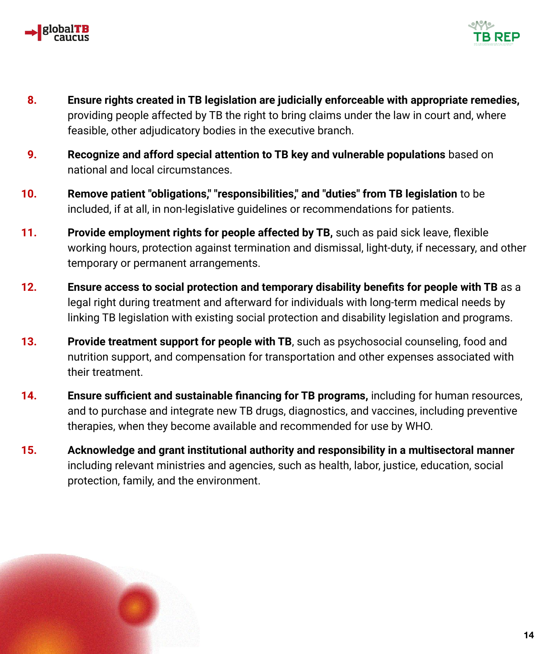



- **8. Ensure rights created in TB legislation are judicially enforceable with appropriate remedies,**  providing people affected by TB the right to bring claims under the law in court and, where feasible, other adjudicatory bodies in the executive branch.
- **9. Recognize and afford special attention to TB key and vulnerable populations** based on national and local circumstances.
- **10. Remove patient "obligations," "responsibilities," and "duties" from TB legislation** to be included, if at all, in non-legislative guidelines or recommendations for patients.
- **11. Provide employment rights for people affected by TB,** such as paid sick leave, flexible working hours, protection against termination and dismissal, light-duty, if necessary, and other temporary or permanent arrangements.
- **12. Ensure access to social protection and temporary disability benefits for people with TB** as a legal right during treatment and afterward for individuals with long-term medical needs by linking TB legislation with existing social protection and disability legislation and programs.
- **13. Provide treatment support for people with TB**, such as psychosocial counseling, food and nutrition support, and compensation for transportation and other expenses associated with their treatment.
- **14. Ensure sufficient and sustainable financing for TB programs,** including for human resources, and to purchase and integrate new TB drugs, diagnostics, and vaccines, including preventive therapies, when they become available and recommended for use by WHO.
- **15. Acknowledge and grant institutional authority and responsibility in a multisectoral manner**  including relevant ministries and agencies, such as health, labor, justice, education, social protection, family, and the environment.